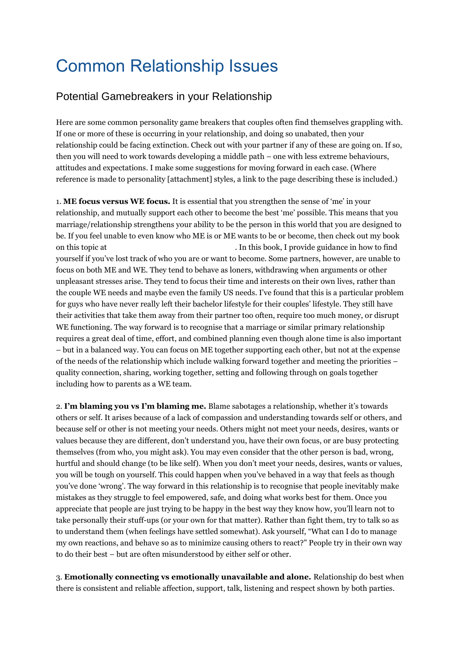## Common Relationship Issues

## Potential Gamebreakers in your Relationship

Here are some common personality game breakers that couples often find themselves grappling with. If one or more of these is occurring in your relationship, and doing so unabated, then your relationship could be facing extinction. Check out with your partner if any of these are going on. If so, then you will need to work towards developing a middle path – one with less extreme behaviours, attitudes and expectations. I make some suggestions for moving forward in each case. (Where reference is made to personality [attachment] styles, a link to the page describing these is included.)

1. **ME focus versus WE focus.** It is essential that you strengthen the sense of "me" in your relationship, and mutually support each other to become the best "me" possible. This means that you marriage/relationship strengthens your ability to be the person in this world that you are designed to be. If you feel unable to even know who ME is or ME wants to be or become, then check out my book on this topic at [The 12 Choices of Winners \(E-Book\)](http://www.jefferysaunders.com/books.php?productID=2) . In this book, I provide guidance in how to find yourself if you"ve lost track of who you are or want to become. Some partners, however, are unable to focus on both ME and WE. They tend to behave as loners, withdrawing when arguments or other unpleasant stresses arise. They tend to focus their time and interests on their own lives, rather than the couple WE needs and maybe even the family US needs. I"ve found that this is a particular problem for guys who have never really left their bachelor lifestyle for their couples" lifestyle. They still have their activities that take them away from their partner too often, require too much money, or disrupt WE functioning. The way forward is to recognise that a marriage or similar primary relationship requires a great deal of time, effort, and combined planning even though alone time is also important – but in a balanced way. You can focus on ME together supporting each other, but not at the expense of the needs of the relationship which include walking forward together and meeting the priorities – quality connection, sharing, working together, setting and following through on goals together including how to parents as a WE team.

2. I'm blaming you vs I'm blaming me. Blame sabotages a relationship, whether it's towards others or self. It arises because of a lack of compassion and understanding towards self or others, and because self or other is not meeting your needs. Others might not meet your needs, desires, wants or values because they are different, don"t understand you, have their own focus, or are busy protecting themselves (from who, you might ask). You may even consider that the other person is bad, wrong, hurtful and should change (to be like self). When you don"t meet your needs, desires, wants or values, you will be tough on yourself. This could happen when you"ve behaved in a way that feels as though you"ve done "wrong". The way forward in this relationship is to recognise that people inevitably make mistakes as they struggle to feel empowered, safe, and doing what works best for them. Once you appreciate that people are just trying to be happy in the best way they know how, you"ll learn not to take personally their stuff-ups (or your own for that matter). Rather than fight them, try to talk so as to understand them (when feelings have settled somewhat). Ask yourself, "What can I do to manage my own reactions, and behave so as to minimize causing others to react?" People try in their own way to do their best – but are often misunderstood by either self or other.

3. **Emotionally connecting vs emotionally unavailable and alone.** Relationship do best when there is consistent and reliable affection, support, talk, listening and respect shown by both parties.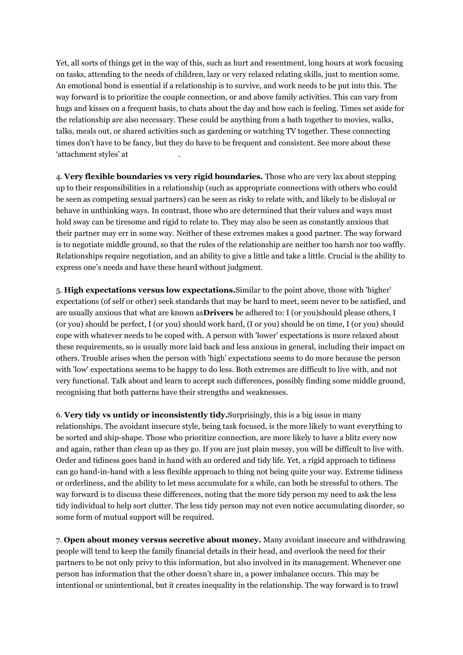Yet, all sorts of things get in the way of this, such as hurt and resentment, long hours at work focusing on tasks, attending to the needs of children, lazy or very relaxed relating skills, just to mention some. An emotional bond is essential if a relationship is to survive, and work needs to be put into this. The way forward is to prioritize the couple connection, or and above family activities. This can vary from hugs and kisses on a frequent basis, to chats about the day and how each is feeling. Times set aside for the relationship are also necessary. These could be anything from a bath together to movies, walks, talks, meals out, or shared activities such as gardening or watching TV together. These connecting times don"t have to be fancy, but they do have to be frequent and consistent. See more about these 'attachment styles' at

4. **Very flexible boundaries vs very rigid boundaries.** Those who are very lax about stepping up to their responsibilities in a relationship (such as appropriate connections with others who could be seen as competing sexual partners) can be seen as risky to relate with, and likely to be disloyal or behave in unthinking ways. In contrast, those who are determined that their values and ways must hold sway can be tiresome and rigid to relate to. They may also be seen as constantly anxious that their partner may err in some way. Neither of these extremes makes a good partner. The way forward is to negotiate middle ground, so that the rules of the relationship are neither too harsh nor too waffly. Relationships require negotiation, and an ability to give a little and take a little. Crucial is the ability to express one"s needs and have these heard without judgment.

5. **High expectations versus low expectations.**Similar to the point above, those with 'higher' expectations (of self or other) seek standards that may be hard to meet, seem never to be satisfied, and are usually anxious that what are known as**Drivers** be adhered to: I (or you)should please others, I (or you) should be perfect, I (or you) should work hard, (I or you) should be on time, I (or you) should cope with whatever needs to be coped with. A person with 'lower' expectations is more relaxed about these requirements, so is usually more laid back and less anxious in general, including their impact on others. Trouble arises when the person with 'high' expectations seems to do more because the person with 'low' expectations seems to be happy to do less. Both extremes are difficult to live with, and not very functional. Talk about and learn to accept such differences, possibly finding some middle ground, recognising that both patterns have their strengths and weaknesses.

6. **Very tidy vs untidy or inconsistently tidy.**Surprisingly, this is a big issue in many relationships. The avoidant insecure style, being task focused, is the more likely to want everything to be sorted and ship-shape. Those who prioritize connection, are more likely to have a blitz every now and again, rather than clean up as they go. If you are just plain messy, you will be difficult to live with. Order and tidiness goes hand in hand with an ordered and tidy life. Yet, a rigid approach to tidiness can go hand-in-hand with a less flexible approach to thing not being quite your way. Extreme tidiness or orderliness, and the ability to let mess accumulate for a while, can both be stressful to others. The way forward is to discuss these differences, noting that the more tidy person my need to ask the less tidy individual to help sort clutter. The less tidy person may not even notice accumulating disorder, so some form of mutual support will be required.

7. **Open about money versus secretive about money.** Many avoidant insecure and withdrawing people will tend to keep the family financial details in their head, and overlook the need for their partners to be not only privy to this information, but also involved in its management. Whenever one person has information that the other doesn"t share in, a power imbalance occurs. This may be intentional or unintentional, but it creates inequality in the relationship. The way forward is to trawl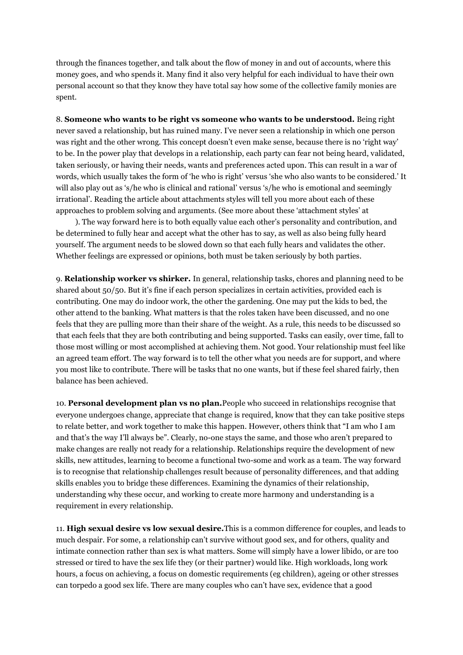through the finances together, and talk about the flow of money in and out of accounts, where this money goes, and who spends it. Many find it also very helpful for each individual to have their own personal account so that they know they have total say how some of the collective family monies are spent.

8. **Someone who wants to be right vs someone who wants to be understood.** Being right never saved a relationship, but has ruined many. I"ve never seen a relationship in which one person was right and the other wrong. This concept doesn't even make sense, because there is no 'right way' to be. In the power play that develops in a relationship, each party can fear not being heard, validated, taken seriously, or having their needs, wants and preferences acted upon. This can result in a war of words, which usually takes the form of 'he who is right' versus 'she who also wants to be considered.' It will also play out as 's/he who is clinical and rational' versus 's/he who is emotional and seemingly irrational". Reading the article about attachments styles will tell you more about each of these approaches to problem solving and arguments. (See more about these 'attachment styles' at

). The way forward here is to both equally value each other's personality and contribution, and be determined to fully hear and accept what the other has to say, as well as also being fully heard yourself. The argument needs to be slowed down so that each fully hears and validates the other. Whether feelings are expressed or opinions, both must be taken seriously by both parties.

9. **Relationship worker vs shirker.** In general, relationship tasks, chores and planning need to be shared about 50/50. But it's fine if each person specializes in certain activities, provided each is contributing. One may do indoor work, the other the gardening. One may put the kids to bed, the other attend to the banking. What matters is that the roles taken have been discussed, and no one feels that they are pulling more than their share of the weight. As a rule, this needs to be discussed so that each feels that they are both contributing and being supported. Tasks can easily, over time, fall to those most willing or most accomplished at achieving them. Not good. Your relationship must feel like an agreed team effort. The way forward is to tell the other what you needs are for support, and where you most like to contribute. There will be tasks that no one wants, but if these feel shared fairly, then balance has been achieved.

10. **Personal development plan vs no plan.**People who succeed in relationships recognise that everyone undergoes change, appreciate that change is required, know that they can take positive steps to relate better, and work together to make this happen. However, others think that "I am who I am and that's the way I'll always be". Clearly, no-one stays the same, and those who aren't prepared to make changes are really not ready for a relationship. Relationships require the development of new skills, new attitudes, learning to become a functional two-some and work as a team. The way forward is to recognise that relationship challenges result because of personality differences, and that adding skills enables you to bridge these differences. Examining the dynamics of their relationship, understanding why these occur, and working to create more harmony and understanding is a requirement in every relationship.

11. **High sexual desire vs low sexual desire.**This is a common difference for couples, and leads to much despair. For some, a relationship can"t survive without good sex, and for others, quality and intimate connection rather than sex is what matters. Some will simply have a lower libido, or are too stressed or tired to have the sex life they (or their partner) would like. High workloads, long work hours, a focus on achieving, a focus on domestic requirements (eg children), ageing or other stresses can torpedo a good sex life. There are many couples who can"t have sex, evidence that a good